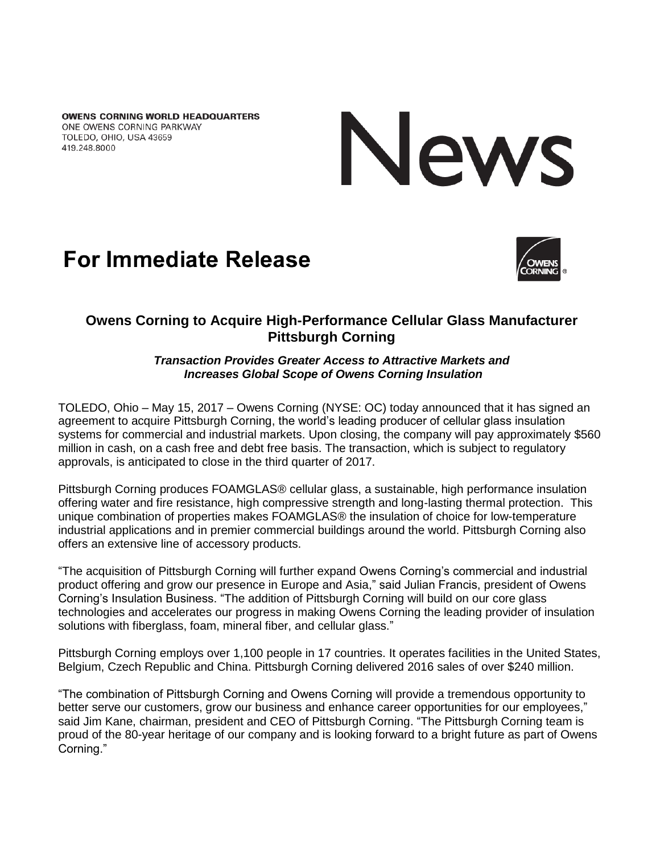**OWENS CORNING WORLD HEADQUARTERS** ONE OWENS CORNING PARKWAY TOLEDO, OHIO, USA 43659 419.248.8000



# **For Immediate Release**



## **Owens Corning to Acquire High-Performance Cellular Glass Manufacturer Pittsburgh Corning**

#### *Transaction Provides Greater Access to Attractive Markets and Increases Global Scope of Owens Corning Insulation*

TOLEDO, Ohio – May 15, 2017 – Owens Corning (NYSE: OC) today announced that it has signed an agreement to acquire Pittsburgh Corning, the world's leading producer of cellular glass insulation systems for commercial and industrial markets. Upon closing, the company will pay approximately \$560 million in cash, on a cash free and debt free basis. The transaction, which is subject to regulatory approvals, is anticipated to close in the third quarter of 2017.

Pittsburgh Corning produces FOAMGLAS® cellular glass, a sustainable, high performance insulation offering water and fire resistance, high compressive strength and long-lasting thermal protection. This unique combination of properties makes FOAMGLAS® the insulation of choice for low-temperature industrial applications and in premier commercial buildings around the world. Pittsburgh Corning also offers an extensive line of accessory products.

"The acquisition of Pittsburgh Corning will further expand Owens Corning's commercial and industrial product offering and grow our presence in Europe and Asia," said Julian Francis, president of Owens Corning's Insulation Business. "The addition of Pittsburgh Corning will build on our core glass technologies and accelerates our progress in making Owens Corning the leading provider of insulation solutions with fiberglass, foam, mineral fiber, and cellular glass."

Pittsburgh Corning employs over 1,100 people in 17 countries. It operates facilities in the United States, Belgium, Czech Republic and China. Pittsburgh Corning delivered 2016 sales of over \$240 million.

"The combination of Pittsburgh Corning and Owens Corning will provide a tremendous opportunity to better serve our customers, grow our business and enhance career opportunities for our employees," said Jim Kane, chairman, president and CEO of Pittsburgh Corning. "The Pittsburgh Corning team is proud of the 80-year heritage of our company and is looking forward to a bright future as part of Owens Corning."